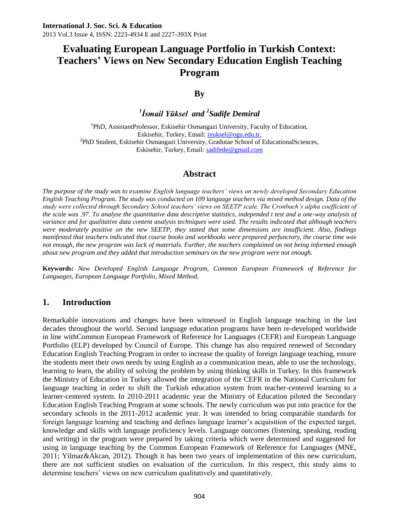### **By**

### *1 İsmail Yüksel and <sup>2</sup> Sadife Demiral*

<sup>1</sup>PhD, AssistantProfessor, Eskisehir Osmangazi University, Faculty of Education, Eskisehir, Turkey, Email: [iyuksel@ogu.edu.tr,](mailto:iyuksel@ogu.edu.tr)  <sup>2</sup>PhD Student, Eskisehir Osmangazi University, Gradutae School of EducationalSciences, Eskisehir, Turkey, Email: sadifede@gmail.com

### **Abstract**

*The purpose of the study was to examine English language teachers' views on newly developed Secondary Education English Teaching Program. The study was conducted on 109 language teachers via mixed method design. Data of the study were collected through Secondary School teachers' views on SEETP scale. The Cronbach's alpha coefficient of the scale was .97. To analyse the quantitative data descriptive statistics, independed t test and a one-way analysis of variance and for qualitative data content analysis techniques were used. The results indicated that although teachers were moderately positive on the new SEETP, they stated that some dimensions are insufficient. Also, findings manifested that teachers indicated that course books and workbooks were prepared perfunctory, the course time was not enough, the new program was lack of materials. Further, the teachers complained on not being informed enough about new program and they added that introduction seminars on the new program were not enough.* 

**Keywords:** *New Developed English Language Program, Common European Framework of Reference for Languages, European Language Portfolio, Mixed Method,*

### **1. Introduction**

Remarkable innovations and changes have been witnessed in English language teaching in the last decades throughout the world. Second language education programs have been re-developed worldwide in line withCommon European Framework of Reference for Languages (CEFR) and European Language Portfolio (ELP) developed by Council of Europe. This change has also required renewed of Secondary Education English Teaching Program in order to increase the quality of foreign language teaching, ensure the students meet their own needs by using English as a communication mean, able to use the technology, learning to learn, the ability of solving the problem by using thinking skills in Turkey. In this framework the Ministry of Education in Turkey allowed the integration of the CEFR in the National Curriculum for language teaching in order to shift the Turkish education system from teacher-centered learning to a learner-centered system. In 2010-2011 academic year the Ministry of Education piloted the Secondary Education English Teaching Program at some schools. The newly curriculum was put into practice for the secondary schools in the 2011-2012 academic year. It was intended to bring comparable standards for foreign language learning and teaching and defines language learner's acquisition of the expected target, knowledge and skills with language proficiency levels. Language outcomes (listening, speaking, reading and writing) in the program were prepared by taking criteria which were determined and suggested for using in language teaching by the Common European Framework of Reference for Languages (MNE, 2011; Yilmaz&Akcan, 2012). Though it has been two years of implementation of this new curriculum, there are not sufficient studies on evaluation of the curriculum. In this respect, this study aims to determine teachers' views on new curriculum qualitatively and quantitatively.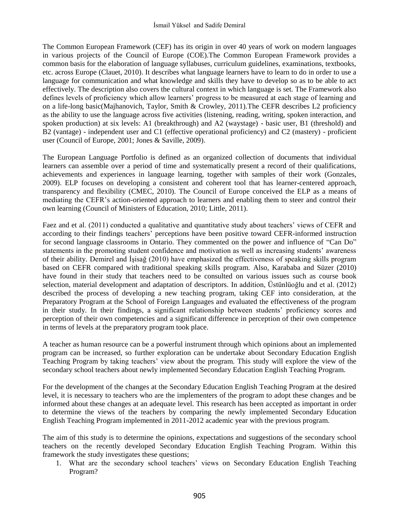The Common European Framework (CEF) has its origin in over 40 years of work on modern languages in various projects of the Council of Europe (COE).The Common European Framework provides a common basis for the elaboration of language syllabuses, curriculum guidelines, examinations, textbooks, etc. across Europe (Clauet, 2010). It describes what language learners have to learn to do in order to use a language for communication and what knowledge and skills they have to develop so as to be able to act effectively. The description also covers the cultural context in which language is set. The Framework also defines levels of proficiency which allow learners' progress to be measured at each stage of learning and on a life-long basic(Majhanovich, Taylor, Smith & Crowley, 2011).The CEFR describes L2 proficiency as the ability to use the language across five activities (listening, reading, writing, spoken interaction, and spoken production) at six levels: A1 (breakthrough) and A2 (waystage) - basic user, B1 (threshold) and B2 (vantage) - independent user and C1 (effective operational proficiency) and C2 (mastery) - proficient user (Council of Europe, 2001; Jones & Saville, 2009).

The European Language Portfolio is defined as an organized collection of documents that individual learners can assemble over a period of time and systematically present a record of their qualifications, achievements and experiences in language learning, together with samples of their work (Gonzales, 2009). ELP focuses on developing a consistent and coherent tool that has learner-centered approach, transparency and flexibility (CMEC, 2010). The Council of Europe conceived the ELP as a means of mediating the CEFR's action-oriented approach to learners and enabling them to steer and control their own learning (Council of Ministers of Education, 2010; Little, 2011).

Faez and et al. (2011) conducted a qualitative and quantitative study about teachers' views of CEFR and according to their findings teachers' perceptions have been positive toward CEFR-informed instruction for second language classrooms in Ontario. They commented on the power and influence of "Can Do" statements in the promoting student confidence and motivation as well as increasing students' awareness of their ability. Demirel and İşisağ (2010) have emphasized the effectiveness of speaking skills program based on CEFR compared with traditional speaking skills program. Also, Karababa and Süzer (2010) have found in their study that teachers need to be consulted on various issues such as course book selection, material development and adaptation of descriptors. In addition, Üstünlüoğlu and et al. (2012) described the process of developing a new teaching program, taking CEF into consideration, at the Preparatory Program at the School of Foreign Languages and evaluated the effectiveness of the program in their study. In their findings, a significant relationship between students' proficiency scores and perception of their own competencies and a significant difference in perception of their own competence in terms of levels at the preparatory program took place.

A teacher as human resource can be a powerful instrument through which opinions about an implemented program can be increased, so further exploration can be undertake about Secondary Education English Teaching Program by taking teachers' view about the program. This study will explore the view of the secondary school teachers about newly implemented Secondary Education English Teaching Program.

For the development of the changes at the Secondary Education English Teaching Program at the desired level, it is necessary to teachers who are the implementers of the program to adopt these changes and be informed about these changes at an adequate level. This research has been accepted as important in order to determine the views of the teachers by comparing the newly implemented Secondary Education English Teaching Program implemented in 2011-2012 academic year with the previous program.

The aim of this study is to determine the opinions, expectations and suggestions of the secondary school teachers on the recently developed Secondary Education English Teaching Program. Within this framework the study investigates these questions;

1. What are the secondary school teachers' views on Secondary Education English Teaching Program?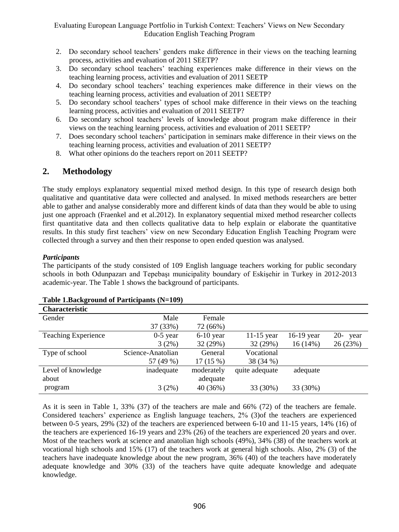- 2. Do secondary school teachers' genders make difference in their views on the teaching learning process, activities and evaluation of 2011 SEETP?
- 3. Do secondary school teachers' teaching experiences make difference in their views on the teaching learning process, activities and evaluation of 2011 SEETP
- 4. Do secondary school teachers' teaching experiences make difference in their views on the teaching learning process, activities and evaluation of 2011 SEETP?
- 5. Do secondary school teachers' types of school make difference in their views on the teaching learning process, activities and evaluation of 2011 SEETP?
- 6. Do secondary school teachers' levels of knowledge about program make difference in their views on the teaching learning process, activities and evaluation of 2011 SEETP?
- 7. Does secondary school teachers' participation in seminars make difference in their views on the teaching learning process, activities and evaluation of 2011 SEETP?
- 8. What other opinions do the teachers report on 2011 SEETP?

## **2. Methodology**

The study employs explanatory sequential mixed method design. In this type of research design both qualitative and quantitative data were collected and analysed. In mixed methods researchers are better able to gather and analyse considerably more and different kinds of data than they would be able to using just one approach (Fraenkel and et al.2012). In explanatory sequential mixed method researcher collects first quantitative data and then collects qualitative data to help explain or elaborate the quantitative results. In this study first teachers' view on new Secondary Education English Teaching Program were collected through a survey and then their response to open ended question was analysed.

#### *Participants*

The participants of the study consisted of 109 English language teachers working for public secondary schools in both Odunpazarı and Tepebaşı municipality boundary of Eskişehir in Turkey in 2012-2013 academic-year. The Table 1 shows the background of participants.

| <b>Characteristic</b>      |                   |             |                |              |               |
|----------------------------|-------------------|-------------|----------------|--------------|---------------|
| Gender                     | Male              | Female      |                |              |               |
|                            | 37 (33%)          | 72 (66%)    |                |              |               |
| <b>Teaching Experience</b> | $0-5$ year        | $6-10$ year | $11-15$ year   | $16-19$ year | $20-$<br>year |
|                            | 3(2%)             | 32 (29%)    | 32 (29%)       | 16(14%)      | 26 (23%)      |
| Type of school             | Science-Anatolian | General     | Vocational     |              |               |
|                            | 57 (49 %)         | 17 (15 %)   | 38 (34 %)      |              |               |
| Level of knowledge         | inadequate        | moderately  | quite adequate | adequate     |               |
| about                      |                   | adequate    |                |              |               |
| program                    | 3(2%)             | 40 (36%)    | 33 (30%)       | 33 (30%)     |               |

#### **Table 1.Background of Participants (N=109)**

As it is seen in Table 1, 33% (37) of the teachers are male and 66% (72) of the teachers are female. Considered teachers' experience as English language teachers, 2% (3)of the teachers are experienced between 0-5 years, 29% (32) of the teachers are experienced between 6-10 and 11-15 years, 14% (16) of the teachers are experienced 16-19 years and 23% (26) of the teachers are experienced 20 years and over. Most of the teachers work at science and anatolian high schools (49%), 34% (38) of the teachers work at vocational high schools and 15% (17) of the teachers work at general high schools. Also, 2% (3) of the teachers have inadequate knowledge about the new program, 36% (40) of the teachers have moderately adequate knowledge and 30% (33) of the teachers have quite adequate knowledge and adequate knowledge.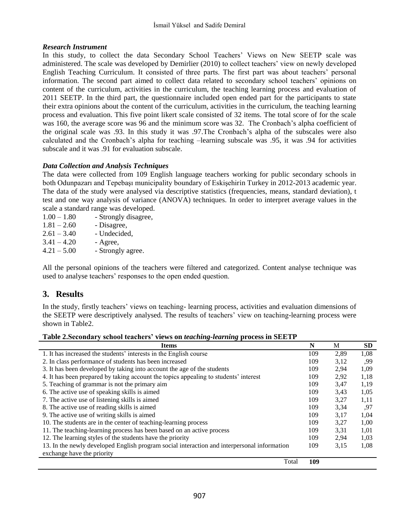#### *Research Instrument*

In this study, to collect the data Secondary School Teachers' Views on New SEETP scale was administered. The scale was developed by Demirlier (2010) to collect teachers' view on newly developed English Teaching Curriculum. It consisted of three parts. The first part was about teachers' personal information. The second part aimed to collect data related to secondary school teachers' opinions on content of the curriculum, activities in the curriculum, the teaching learning process and evaluation of 2011 SEETP. In the third part, the questionnaire included open ended part for the participants to state their extra opinions about the content of the curriculum, activities in the curriculum, the teaching learning process and evaluation. This five point likert scale consisted of 32 items. The total score of for the scale was 160, the average score was 96 and the minimum score was 32. The Cronbach's alpha coefficient of the original scale was .93. In this study it was .97.The Cronbach's alpha of the subscales were also calculated and the Cronbach's alpha for teaching –learning subscale was .95, it was .94 for activities subscale and it was .91 for evaluation subscale.

#### *Data Collection and Analysis Techniques*

The data were collected from 109 English language teachers working for public secondary schools in both Odunpazarı and Tepebaşı municipality boundary of Eskişehirin Turkey in 2012-2013 academic year. The data of the study were analysed via descriptive statistics (frequencies, means, standard deviation), t test and one way analysis of variance (ANOVA) techniques. In order to interpret average values in the scale a standard range was developed.

| $1.00 - 1.80$ | - Strongly disagree, |
|---------------|----------------------|
| $1.81 - 2.60$ | - Disagree,          |
| $2.61 - 3.40$ | - Undecided,         |
| $3.41 - 4.20$ | - Agree,             |
| $4.21 - 5.00$ | - Strongly agree.    |
|               |                      |

All the personal opinions of the teachers were filtered and categorized. Content analyse technique was used to analyse teachers' responses to the open ended question.

### **3. Results**

In the study, firstly teachers' views on teaching- learning process, activities and evaluation dimensions of the SEETP were descriptively analysed. The results of teachers' view on teaching-learning process were shown in Table2.

| <b>Items</b>                                                                                | N   | М    | <b>SD</b> |
|---------------------------------------------------------------------------------------------|-----|------|-----------|
| 1. It has increased the students' interests in the English course                           | 109 | 2.89 | 1,08      |
| 2. In class performance of students has been increased                                      | 109 | 3,12 | .99       |
| 3. It has been developed by taking into account the age of the students                     | 109 | 2,94 | 1,09      |
| 4. It has been prepared by taking account the topics appealing to students' interest        | 109 | 2,92 | 1,18      |
| 5. Teaching of grammar is not the primary aim                                               | 109 | 3.47 | 1,19      |
| 6. The active use of speaking skills is aimed                                               | 109 | 3.43 | 1,05      |
| 7. The active use of listening skills is aimed.                                             | 109 | 3,27 | 1,11      |
| 8. The active use of reading skills is aimed.                                               | 109 | 3.34 | .97       |
| 9. The active use of writing skills is aimed                                                | 109 | 3.17 | 1.04      |
| 10. The students are in the center of teaching-learning process                             | 109 | 3,27 | 1,00      |
| 11. The teaching-learning process has been based on an active process                       | 109 | 3.31 | 1,01      |
| 12. The learning styles of the students have the priority                                   | 109 | 2.94 | 1,03      |
| 13. In the newly developed English program social interaction and interpersonal information | 109 | 3,15 | 1,08      |
| exchange have the priority                                                                  |     |      |           |
| Total                                                                                       | 109 |      |           |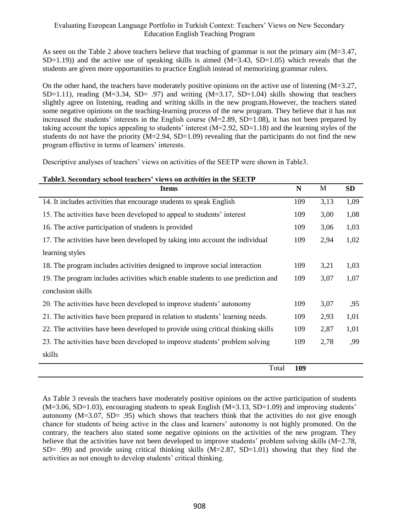As seen on the Table 2 above teachers believe that teaching of grammar is not the primary aim (M=3.47,  $SD=1.19$ ) and the active use of speaking skills is aimed  $(M=3.43, SD=1.05)$  which reveals that the students are given more opportunities to practice English instead of memorizing grammar rulers.

On the other hand, the teachers have moderately positive opinions on the active use of listening  $(M=3.27,$ SD=1.11), reading  $(M=3.34, SD= .97)$  and writing  $(M=3.17, SD=1.04)$  skills showing that teachers slightly agree on listening, reading and writing skills in the new program.However, the teachers stated some negative opinions on the teaching-learning process of the new program. They believe that it has not increased the students' interests in the English course (M=2.89, SD=1.08), it has not been prepared by taking account the topics appealing to students' interest  $(M=2.92, SD=1.18)$  and the learning styles of the students do not have the priority  $(M=2.94, SD=1.09)$  revealing that the participants do not find the new program effective in terms of learners' interests.

Descriptive analyses of teachers' views on activities of the SEETP were shown in Table3.

|  | Table3. Secondary school teachers' views on <i>activities</i> in the SEETP |
|--|----------------------------------------------------------------------------|
|--|----------------------------------------------------------------------------|

| <b>Items</b>                                                                     | N   | M    | <b>SD</b> |
|----------------------------------------------------------------------------------|-----|------|-----------|
| 14. It includes activities that encourage students to speak English              | 109 | 3,13 | 1,09      |
| 15. The activities have been developed to appeal to students' interest           | 109 | 3,00 | 1,08      |
| 16. The active participation of students is provided                             | 109 | 3,06 | 1,03      |
| 17. The activities have been developed by taking into account the individual     | 109 | 2,94 | 1,02      |
| learning styles                                                                  |     |      |           |
| 18. The program includes activities designed to improve social interaction       | 109 | 3,21 | 1,03      |
| 19. The program includes activities which enable students to use prediction and  | 109 | 3,07 | 1,07      |
| conclusion skills                                                                |     |      |           |
| 20. The activities have been developed to improve students' autonomy             | 109 | 3,07 | ,95       |
| 21. The activities have been prepared in relation to students' learning needs.   | 109 | 2,93 | 1,01      |
| 22. The activities have been developed to provide using critical thinking skills | 109 | 2,87 | 1,01      |
| 23. The activities have been developed to improve students' problem solving      | 109 | 2,78 | ,99       |
| skills                                                                           |     |      |           |
| Total                                                                            | 109 |      |           |

As Table 3 reveals the teachers have moderately positive opinions on the active participation of students  $(M=3.06, SD=1.03)$ , encouraging students to speak English  $(M=3.13, SD=1.09)$  and improving students' autonomy  $(M=3.07, SD= .95)$  which shows that teachers think that the activities do not give enough chance for students of being active in the class and learners' autonomy is not highly promoted. On the contrary, the teachers also stated some negative opinions on the activities of the new program. They believe that the activities have not been developed to improve students' problem solving skills (M=2.78,  $SD = .99$ ) and provide using critical thinking skills  $(M=2.87, SD=1.01)$  showing that they find the activities as not enough to develop students' critical thinking.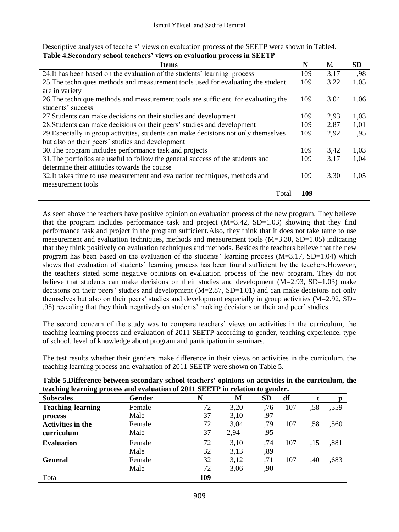Descriptive analyses of teachers' views on evaluation process of the SEETP were shown in Table4. **Table 4.Secondary school teachers' views on evaluation process in SEETP**

| <b>Items</b>                                                                        | N   | M    | <b>SD</b> |
|-------------------------------------------------------------------------------------|-----|------|-----------|
| 24. It has been based on the evaluation of the students' learning process           | 109 | 3,17 | ,98       |
| 25. The techniques methods and measurement tools used for evaluating the student    | 109 | 3.22 | 1,05      |
| are in variety                                                                      |     |      |           |
| 26. The technique methods and measurement tools are sufficient for evaluating the   | 109 | 3,04 | 1,06      |
| students' success                                                                   |     |      |           |
| 27. Students can make decisions on their studies and development                    | 109 | 2.93 | 1,03      |
| 28. Students can make decisions on their peers' studies and development             | 109 | 2,87 | 1,01      |
| 29. Especially in group activities, students can make decisions not only themselves | 109 | 2.92 | .95       |
| but also on their peers' studies and development                                    |     |      |           |
| 30. The program includes performance task and projects                              | 109 | 3,42 | 1.03      |
| 31. The portfolios are useful to follow the general success of the students and     | 109 | 3,17 | 1,04      |
| determine their attitudes towards the course                                        |     |      |           |
| 32. It takes time to use measurement and evaluation techniques, methods and         | 109 | 3,30 | 1.05      |
| measurement tools                                                                   |     |      |           |
| Total                                                                               | 109 |      |           |

As seen above the teachers have positive opinion on evaluation process of the new program. They believe that the program includes performance task and project  $(M=3.42, SD=1.03)$  showing that they find performance task and project in the program sufficient.Also, they think that it does not take tame to use measurement and evaluation techniques, methods and measurement tools (M=3.30, SD=1.05) indicating that they think positively on evaluation techniques and methods. Besides the teachers believe that the new program has been based on the evaluation of the students' learning process  $(M=3.17, SD=1.04)$  which shows that evaluation of students' learning process has been found sufficient by the teachers.However, the teachers stated some negative opinions on evaluation process of the new program. They do not believe that students can make decisions on their studies and development (M=2.93, SD=1.03) make decisions on their peers' studies and development  $(M=2.87, SD=1.01)$  and can make decisions not only themselves but also on their peers' studies and development especially in group activities (M=2.92, SD= .95) revealing that they think negatively on students' making decisions on their and peer' studies.

The second concern of the study was to compare teachers' views on activities in the curriculum, the teaching learning process and evaluation of 2011 SEETP according to gender, teaching experience, type of school, level of knowledge about program and participation in seminars.

The test results whether their genders make difference in their views on activities in the curriculum, the teaching learning process and evaluation of 2011 SEETP were shown on Table 5.

| teaching learning process and evaluation of 2011 SEETP in relation to gender. |        |     |      |           |     |     |      |  |
|-------------------------------------------------------------------------------|--------|-----|------|-----------|-----|-----|------|--|
| <b>Subscales</b>                                                              | Gender | N   | М    | <b>SD</b> | df  |     |      |  |
| <b>Teaching-learning</b>                                                      | Female | 72  | 3,20 | .76       | 107 | .58 | ,559 |  |
| process                                                                       | Male   | 37  | 3,10 | .97       |     |     |      |  |
| <b>Activities in the</b>                                                      | Female | 72  | 3,04 | .79       | 107 | .58 | .560 |  |
| curriculum                                                                    | Male   | 37  | 2,94 | .95       |     |     |      |  |
| <b>Evaluation</b>                                                             | Female | 72  | 3,10 | .74       | 107 | .15 | .881 |  |
|                                                                               | Male   | 32  | 3,13 | .89       |     |     |      |  |
| <b>General</b>                                                                | Female | 32  | 3,12 | .71       | 107 | .40 | .683 |  |
|                                                                               | Male   | 72  | 3,06 | ,90       |     |     |      |  |
| Total                                                                         |        | 109 |      |           |     |     |      |  |

**Table 5.Difference between secondary school teachers' opinions on activities in the curriculum, the teaching learning process and evaluation of 2011 SEETP in relation to gender.**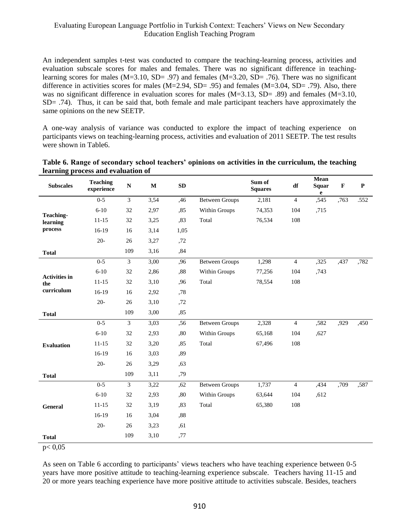An independent samples t-test was conducted to compare the teaching-learning process, activities and evaluation subscale scores for males and females. There was no significant difference in teachinglearning scores for males (M=3.10, SD= .97) and females (M=3.20, SD= .76). There was no significant difference in activities scores for males ( $M=2.94$ ,  $SD= .95$ ) and females ( $M=3.04$ ,  $SD= .79$ ). Also, there was no significant difference in evaluation scores for males (M=3.13, SD= .89) and females (M=3.10, SD= .74). Thus, it can be said that, both female and male participant teachers have approximately the same opinions on the new SEETP.

A one-way analysis of variance was conducted to explore the impact of teaching experience on participants views on teaching-learning process, activities and evaluation of 2011 SEETP. The test results were shown in Table6.

| <b>Subscales</b>     | <b>Teaching</b><br>experience | ${\bf N}$      | $\mathbf M$ | SD   |                       | Sum of<br><b>Squares</b> | df             | Mean<br>Squar<br>$\mathbf e$ | $\mathbf F$ | ${\bf P}$ |
|----------------------|-------------------------------|----------------|-------------|------|-----------------------|--------------------------|----------------|------------------------------|-------------|-----------|
|                      | $0 - 5$                       | $\mathfrak{Z}$ | 3,54        | ,46  | <b>Between Groups</b> | 2,181                    | $\overline{4}$ | ,545                         | .763        | .552      |
| <b>Teaching-</b>     | $6 - 10$                      | 32             | 2,97        | .85  | Within Groups         | 74,353                   | 104            | ,715                         |             |           |
| learning             | $11 - 15$                     | 32             | 3,25        | .83  | Total                 | 76,534                   | 108            |                              |             |           |
| process              | $16-19$                       | 16             | 3,14        | 1,05 |                       |                          |                |                              |             |           |
|                      | $20 -$                        | 26             | 3,27        | ,72  |                       |                          |                |                              |             |           |
| <b>Total</b>         |                               | 109            | 3,16        | ,84  |                       |                          |                |                              |             |           |
|                      | $0 - 5$                       | $\overline{3}$ | 3,00        | .96  | <b>Between Groups</b> | 1,298                    | $\overline{4}$ | ,325                         | ,437        | .782      |
| <b>Activities in</b> | $6 - 10$                      | 32             | 2,86        | .88  | Within Groups         | 77,256                   | 104            | ,743                         |             |           |
| the                  | $11 - 15$                     | 32             | 3,10        | .96  | Total                 | 78,554                   | 108            |                              |             |           |
| curriculum           | $16-19$                       | 16             | 2,92        | .78  |                       |                          |                |                              |             |           |
|                      | $20 -$                        | 26             | 3,10        | ,72  |                       |                          |                |                              |             |           |
| <b>Total</b>         |                               | 109            | 3,00        | ,85  |                       |                          |                |                              |             |           |
|                      | $0 - 5$                       | $\mathfrak{Z}$ | 3,03        | ,56  | <b>Between Groups</b> | 2,328                    | $\overline{4}$ | ,582                         | ,929        | ,450      |
|                      | $6 - 10$                      | 32             | 2,93        | ,80  | Within Groups         | 65,168                   | 104            | ,627                         |             |           |
| <b>Evaluation</b>    | $11 - 15$                     | 32             | 3,20        | ,85  | Total                 | 67,496                   | 108            |                              |             |           |
|                      | 16-19                         | 16             | 3,03        | ,89  |                       |                          |                |                              |             |           |
|                      | $20 -$                        | 26             | 3,29        | .63  |                       |                          |                |                              |             |           |
| <b>Total</b>         |                               | 109            | 3,11        | ,79  |                       |                          |                |                              |             |           |
|                      | $0 - 5$                       | $\overline{3}$ | 3,22        | ,62  | <b>Between Groups</b> | 1,737                    | $\overline{4}$ | ,434                         | ,709        | .587      |
|                      | $6 - 10$                      | 32             | 2,93        | ,80  | Within Groups         | 63,644                   | 104            | ,612                         |             |           |
| <b>General</b>       | $11 - 15$                     | 32             | 3,19        | ,83  | Total                 | 65,380                   | 108            |                              |             |           |
|                      | 16-19                         | 16             | 3,04        | ,88  |                       |                          |                |                              |             |           |
|                      | $20 -$                        | 26             | 3,23        | ,61  |                       |                          |                |                              |             |           |
| <b>Total</b>         |                               | 109            | 3,10        | ,77  |                       |                          |                |                              |             |           |

| Table 6. Range of secondary school teachers' opinions on activities in the curriculum, the teaching |  |  |
|-----------------------------------------------------------------------------------------------------|--|--|
| learning process and evaluation of                                                                  |  |  |

p< 0,05

As seen on Table 6 according to participants' views teachers who have teaching experience between 0-5 years have more positive attitude to teaching-learning experience subscale. Teachers having 11-15 and 20 or more years teaching experience have more positive attitude to activities subscale. Besides, teachers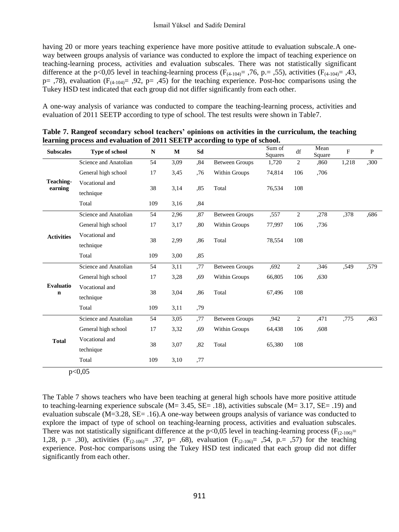having 20 or more years teaching experience have more positive attitude to evaluation subscale. A oneway between groups analysis of variance was conducted to explore the impact of teaching experience on teaching-learning process, activities and evaluation subscales. There was not statistically significant difference at the p<0,05 level in teaching-learning process ( $F_{(4-104)}$ = ,76, p. = ,55), activities ( $F_{(4-104)}$ = ,43,  $p=$ ,78), evaluation ( $F_{(4-104)}=$ ,92,  $p=$ ,45) for the teaching experience. Post-hoc comparisons using the Tukey HSD test indicated that each group did not differ significantly from each other.

A one-way analysis of variance was conducted to compare the teaching-learning process, activities and evaluation of 2011 SEETP according to type of school. The test results were shown in Table7.

| <b>Subscales</b>     | <b>Type of school</b> | ${\bf N}$ | $\bf M$     | Sd  |                         | Sum of<br>Squares | df             | Mean<br>Square | F     | $\mathbf P$ |
|----------------------|-----------------------|-----------|-------------|-----|-------------------------|-------------------|----------------|----------------|-------|-------------|
|                      | Science and Anatolian | 54        | 3,09        | .84 | <b>Between Groups</b>   | 1,720             | $\overline{2}$ | .860           | 1,218 | ,300        |
|                      | General high school   | 17        | 3,45        | .76 | Within Groups           | 74,814            | 106            | ,706           |       |             |
| Teaching-<br>earning | Vocational and        | 38        |             |     | Total                   |                   | 108            |                |       |             |
|                      | technique             |           | 3,14        | .85 |                         | 76,534            |                |                |       |             |
|                      | Total                 | 109       | 3,16        | ,84 |                         |                   |                |                |       |             |
|                      | Science and Anatolian | 54        | 2,96        | ,87 | <b>Between Groups</b>   | ,557              | $\overline{2}$ | ,278           | .378  | .686        |
|                      | General high school   | 17        | 3,17        | .80 | Within Groups<br>77,997 |                   | 106            | ,736           |       |             |
| <b>Activities</b>    | Vocational and        |           |             |     | Total                   |                   |                |                |       |             |
|                      | technique             | 38        | 2,99<br>,86 |     | 78,554                  | 108               |                |                |       |             |
|                      | Total                 | 109       | 3,00        | .85 |                         |                   |                |                |       |             |
|                      | Science and Anatolian | 54        | 3,11        | ,77 | <b>Between Groups</b>   | .692              | 2              | ,346           | .549  | .579        |
|                      | General high school   | 17        | 3,28        | ,69 | Within Groups           | 66,805            | 106            | .630           |       |             |
| <b>Evaluatio</b>     | Vocational and        |           |             |     |                         |                   |                |                |       |             |
| $\mathbf n$          | technique             | 38        | 3,04        | .86 | Total                   | 67,496            | 108            |                |       |             |
|                      | Total                 | 109       | 3,11        | ,79 |                         |                   |                |                |       |             |
|                      | Science and Anatolian | 54        | 3,05        | ,77 | <b>Between Groups</b>   | .942              | $\overline{c}$ | ,471           | ,775  | ,463        |
|                      | General high school   | 17        | 3,32        | ,69 | Within Groups           | 64,438            | 106            | .608           |       |             |
| <b>Total</b>         | Vocational and        |           |             |     |                         |                   |                |                |       |             |
|                      | technique             | 38        | 3,07        | .82 | Total                   | 65,380            | 108            |                |       |             |
|                      | Total                 | 109       | 3,10        | ,77 |                         |                   |                |                |       |             |

**Table 7. Rangeof secondary school teachers' opinions on activities in the curriculum, the teaching learning process and evaluation of 2011 SEETP according to type of school.**

 $p<0.05$ 

The Table 7 shows teachers who have been teaching at general high schools have more positive attitude to teaching-learning experience subscale ( $M = 3.45$ ,  $SE = .18$ ), activities subscale ( $M = 3.17$ ,  $SE = .19$ ) and evaluation subscale (M=3.28, SE= .16).A one-way between groups analysis of variance was conducted to explore the impact of type of school on teaching-learning process, activities and evaluation subscales. There was not statistically significant difference at the  $p<0.05$  level in teaching-learning process ( $F_{(2-106)}=$ 1,28, p.= .30), activities ( $F_{(2-106)}$  = .37, p= .68), evaluation ( $F_{(2-106)}$  = .54, p.= .57) for the teaching experience. Post-hoc comparisons using the Tukey HSD test indicated that each group did not differ significantly from each other.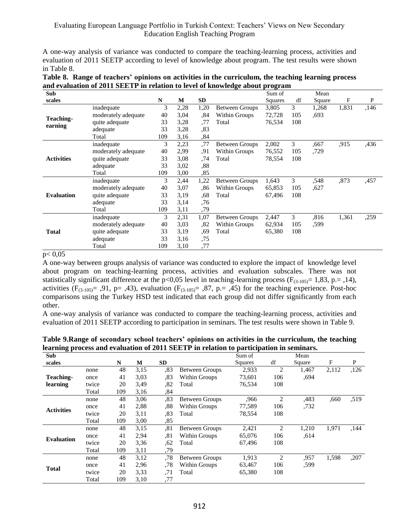A one-way analysis of variance was conducted to compare the teaching-learning process, activities and evaluation of 2011 SEETP according to level of knowledge about program. The test results were shown in Table 8.

|                                                                              |  | Table 8. Range of teachers' opinions on activities in the curriculum, the teaching learning process |  |
|------------------------------------------------------------------------------|--|-----------------------------------------------------------------------------------------------------|--|
| and evaluation of 2011 SEETP in relation to level of knowledge about program |  |                                                                                                     |  |

| Sub                  |                     |     |      |      |                       | Sum of  |     | Mean   |       |      |
|----------------------|---------------------|-----|------|------|-----------------------|---------|-----|--------|-------|------|
| scales               |                     | N   | M    | SD   |                       | Squares | df  | Square | F     | P    |
|                      | inadequate          | 3   | 2,28 | 1,20 | <b>Between Groups</b> | 3,805   | 3   | 1,268  | 1,831 | ,146 |
|                      | moderately adequate | 40  | 3,04 | ,84  | Within Groups         | 72,728  | 105 | .693   |       |      |
| Teaching-<br>earning | quite adequate      | 33  | 3,28 | ,77  | Total                 | 76,534  | 108 |        |       |      |
|                      | adequate            | 33  | 3,28 | .83  |                       |         |     |        |       |      |
|                      | Total               | 109 | 3,16 | ,84  |                       |         |     |        |       |      |
|                      | inadequate          | 3   | 2,23 | .77  | <b>Between Groups</b> | 2,002   | 3   | .667   | .915  | .436 |
|                      | moderately adequate | 40  | 2,99 | .91  | Within Groups         | 76,552  | 105 | .729   |       |      |
| <b>Activities</b>    | quite adequate      | 33  | 3,08 | ,74  | Total                 | 78,554  | 108 |        |       |      |
|                      | adequate            | 33  | 3,02 | .88  |                       |         |     |        |       |      |
|                      | Total               | 109 | 3,00 | ,85  |                       |         |     |        |       |      |
|                      | inadequate          | 3   | 2,44 | 1,22 | <b>Between Groups</b> | 1,643   | 3   | .548   | .873  | ,457 |
|                      | moderately adequate | 40  | 3,07 | .86  | Within Groups         | 65,853  | 105 | .627   |       |      |
| <b>Evaluation</b>    | quite adequate      | 33  | 3,19 | .68  | Total                 | 67,496  | 108 |        |       |      |
|                      | adequate            | 33  | 3,14 | .76  |                       |         |     |        |       |      |
|                      | Total               | 109 | 3,11 | .79  |                       |         |     |        |       |      |
|                      | inadequate          | 3   | 2,31 | 1,07 | <b>Between Groups</b> | 2,447   | 3   | .816   | 1,361 | ,259 |
| <b>Total</b>         | moderately adequate | 40  | 3,03 | ,82  | Within Groups         | 62,934  | 105 | ,599   |       |      |
|                      | quite adequate      | 33  | 3,19 | .69  | Total                 | 65,380  | 108 |        |       |      |
|                      | adequate            | 33  | 3,16 | ,75  |                       |         |     |        |       |      |
|                      | Total               | 109 | 3,10 | ,77  |                       |         |     |        |       |      |

#### $p < 0.05$

A one-way between groups analysis of variance was conducted to explore the impact of knowledge level about program on teaching-learning process, activities and evaluation subscales. There was not statistically significant difference at the p<0,05 level in teaching-learning process ( $F_{(3-105)}$ = 1,83, p.= ,14), activities ( $F_{(3-105)}$ = ,91, p= ,43), evaluation ( $F_{(3-105)}$ = ,87, p.= ,45) for the teaching experience. Post-hoc comparisons using the Turkey HSD test indicated that each group did not differ significantly from each other.

A one-way analysis of variance was conducted to compare the teaching-learning process, activities and evaluation of 2011 SEETP according to participation in seminars. The test results were shown in Table 9.

| <b>Sub</b>        |       |     |      |           |                       | Sum of         |                | Mean   |       |      |
|-------------------|-------|-----|------|-----------|-----------------------|----------------|----------------|--------|-------|------|
| scales            |       | N   | M    | <b>SD</b> |                       | <b>Squares</b> | df             | Square | F     | P    |
|                   | none  | 48  | 3,15 | .83       | <b>Between Groups</b> | 2,933          | $\overline{c}$ | 1,467  | 2,112 | ,126 |
| Teaching-         | once  | 41  | 3,03 | ,83       | Within Groups         | 73.601         | 106            | .694   |       |      |
| learning          | twice | 20  | 3,49 | .82       | Total                 | 76,534         | 108            |        |       |      |
|                   | Total | 109 | 3,16 | ,84       |                       |                |                |        |       |      |
|                   | none  | 48  | 3,06 | .83       | <b>Between Groups</b> | .966           | $\overline{2}$ | .483   | ,660  | .519 |
| <b>Activities</b> | once  | 41  | 2,88 | .88       | Within Groups         | 77,589         | 106            | .732   |       |      |
|                   | twice | 20  | 3,11 | .83       | Total                 | 78,554         | 108            |        |       |      |
|                   | Total | 109 | 3,00 | .85       |                       |                |                |        |       |      |
|                   | none  | 48  | 3,15 | , 81      | <b>Between Groups</b> | 2,421          | 2              | 1,210  | 1,971 | ,144 |
| <b>Evaluation</b> | once  | 41  | 2,94 | .81       | Within Groups         | 65,076         | 106            | .614   |       |      |
|                   | twice | 20  | 3,36 | .62       | Total                 | 67,496         | 108            |        |       |      |
|                   | Total | 109 | 3,11 | ,79       |                       |                |                |        |       |      |
| <b>Total</b>      | none  | 48  | 3,12 | .78       | <b>Between Groups</b> | 1,913          | $\overline{2}$ | .957   | 1,598 | ,207 |
|                   | once  | 41  | 2,96 | .78       | Within Groups         | 63,467         | 106            | .599   |       |      |
|                   | twice | 20  | 3,33 | .71       | Total                 | 65,380         | 108            |        |       |      |
|                   | Total | 109 | 3,10 | .77       |                       |                |                |        |       |      |

**Table 9.Range of secondary school teachers' opinions on activities in the curriculum, the teaching learning process and evaluation of 2011 SEETP in relation to participation in seminars.**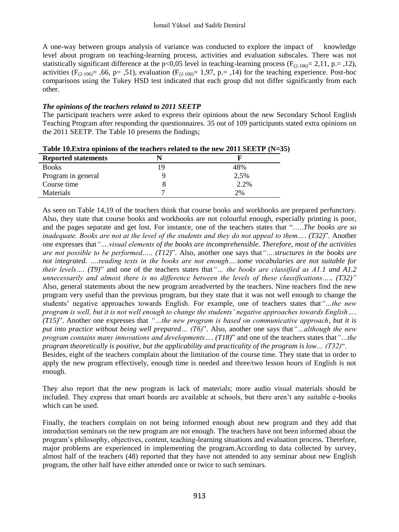A one-way between groups analysis of variance was conducted to explore the impact of knowledge level about program on teaching-learning process, activities and evaluation subscales. There was not statistically significant difference at the p<0,05 level in teaching-learning process ( $F_{(2-106)} = 2,11$ , p.= ,12), activities ( $F_{(2-106)} = 0.66$ , p= 0.51), evaluation ( $F_{(2-106)} = 1.97$ , p. = 0.14) for the teaching experience. Post-hoc comparisons using the Tukey HSD test indicated that each group did not differ significantly from each other.

### *The opinions of the teachers related to 2011 SEETP*

The participant teachers were asked to express their opinions about the new Secondary School English Teaching Program after responding the questionnaires. 35 out of 109 participants stated extra opinions on the 2011 SEETP. The Table 10 presents the findings;

| Table 10. Extra opinions of the teachers related to the new 2011 SEETP $(N=35)$ |  |  |  |  |  |  |  |  |  |  |
|---------------------------------------------------------------------------------|--|--|--|--|--|--|--|--|--|--|
|---------------------------------------------------------------------------------|--|--|--|--|--|--|--|--|--|--|

| <b>Reported statements</b> |      |
|----------------------------|------|
| <b>Books</b>               | 48%  |
| Program in general         | 2,5% |
| Course time                | 2.2% |
| Materials                  | 2%   |

As seen on Table 14,19 of the teachers think that course books and workbooks are prepared perfunctory. Also, they state that course books and workbooks are not colourful enough, especially printing is poor, and the pages separate and get lost. For instance, one of the teachers states that "…..*The books are so inadequate. Books are not at the level of the students and they do not appeal to them…. (T32)*". Another one expresses that*"….visual elements of the books are incomprehensible. Therefore, most of the activities are not possible to be performed….. (T12)*". Also, another one says that*"….structures in the books are not integrated. ….reading texts in the books are not enough….some vocabularies are not suitable for their levels…. (T9)*" and one of the teachers states that*"… the books are classified as A1.1 and A1.2 unnecessarily and almost there is no difference between the levels of these classifications….. (T32)"* Also, general statements about the new program areadverted by the teachers. Nine teachers find the new program very useful than the previous program, but they state that it was not well enough to change the students' negative approaches towards English. For example, one of teachers states that*"…the new program is well, but it is not well enough to change the students' negative approaches towards English…. (T15)*". Another one expresses that *"…the new program is based on communicative approach, but it is put into practice without being well prepared… (T6)*". Also, another one says that*"…although the new program contains many innovations and developments…. (T18)*" and one of the teachers states that*"…the program theoretically is positive, but the applicability and practicality of the program is low… (T32)*". Besides, eight of the teachers complain about the limitation of the course time. They state that in order to apply the new program effectively, enough time is needed and three/two lesson hours of English is not enough.

They also report that the new program is lack of materials; more audio visual materials should be included. They express that smart boards are available at schools, but there aren't any suitable e-books which can be used.

Finally, the teachers complain on not being informed enough about new program and they add that introduction seminars on the new program are not enough. The teachers have not been informed about the program's philosophy, objectives, content, teaching-learning situations and evaluation process. Therefore, major problems are experienced in implementing the program.According to data collected by survey, almost half of the teachers (48) reported that they have not attended to any seminar about new English program, the other half have either attended once or twice to such seminars.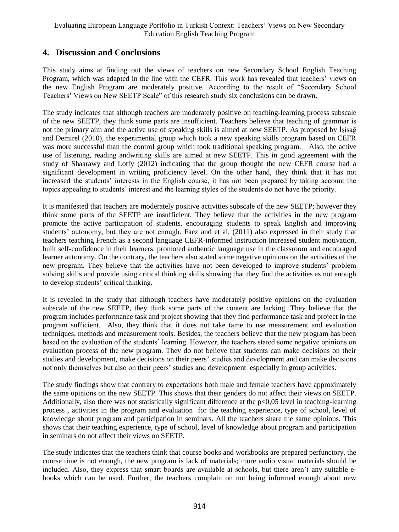### **4. Discussion and Conclusions**

This study aims at finding out the views of teachers on new Secondary School English Teaching Program, which was adapted in the line with the CEFR. This work has revealed that teachers' views on the new English Program are moderately positive. According to the result of "Secondary School Teachers' Views on New SEETP Scale" of this research study six conclusions can be drawn.

The study indicates that although teachers are moderately positive on teaching-learning process subscale of the new SEETP, they think some parts are insufficient. Teachers believe that teaching of grammar is not the primary aim and the active use of speaking skills is aimed at new SEETP. As proposed by İşisağ and Demirel (2010), the experimental group which took a new speaking skills program based on CEFR was more successful than the control group which took traditional speaking program. Also, the active use of listening, reading andwriting skills are aimed at new SEETP. This in good agreement with the study of Shaarawy and Lotfy (2012) indicating that the group thought the new CEFR course had a significant development in writing proficiency level. On the other hand, they think that it has not increased the students' interests in the English course, it has not been prepared by taking account the topics appealing to students' interest and the learning styles of the students do not have the priority.

It is manifested that teachers are moderately positive activities subscale of the new SEETP; however they think some parts of the SEETP are insufficient. They believe that the activities in the new program promote the active participation of students, encouraging students to speak English and improving students' autonomy, but they are not enough. Faez and et al. (2011) also expressed in their study that teachers teaching French as a second language CEFR-informed instruction increased student motivation, built self-confidence in their learners, promoted authentic language use in the classroom and encouraged learner autonomy. On the contrary, the teachers also stated some negative opinions on the activities of the new program. They believe that the activities have not been developed to improve students' problem solving skills and provide using critical thinking skills showing that they find the activities as not enough to develop students' critical thinking.

It is revealed in the study that although teachers have moderately positive opinions on the evaluation subscale of the new SEETP, they think some parts of the content are lacking. They believe that the program includes performance task and project showing that they find performance task and project in the program sufficient. Also, they think that it does not take tame to use measurement and evaluation techniques, methods and measurement tools. Besides, the teachers believe that the new program has been based on the evaluation of the students' learning. However, the teachers stated some negative opinions on evaluation process of the new program. They do not believe that students can make decisions on their studies and development, make decisions on their peers' studies and development and can make decisions not only themselves but also on their peers' studies and development especially in group activities.

The study findings show that contrary to expectations both male and female teachers have approximately the same opinions on the new SEETP. This shows that their genders do not affect their views on SEETP. Additionally, also there was not statistically significant difference at the p<0,05 level in teaching-learning process , activities in the program and evaluation for the teaching experience, type of school, level of knowledge about program and participation in seminars. All the teachers share the same opinions. This shows that their teaching experience, type of school, level of knowledge about program and participation in seminars do not affect their views on SEETP.

The study indicates that the teachers think that course books and workbooks are prepared perfunctory, the course time is not enough, the new program is lack of materials; more audio visual materials should be included. Also, they express that smart boards are available at schools, but there aren't any suitable ebooks which can be used. Further, the teachers complain on not being informed enough about new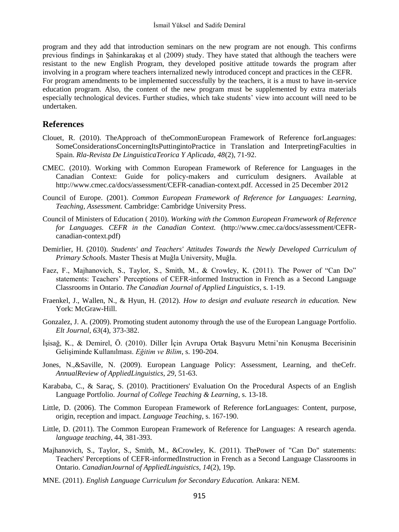program and they add that introduction seminars on the new program are not enough. This confirms previous findings in Şahinkarakaş et al (2009) study. They have stated that although the teachers were resistant to the new English Program, they developed positive attitude towards the program after involving in a program where teachers internalized newly introduced concept and practices in the CEFR. For program amendments to be implemented successfully by the teachers, it is a must to have in-service education program. Also, the content of the new program must be supplemented by extra materials especially technological devices. Further studies, which take students' view into account will need to be undertaken.

### **References**

- Clouet, R. (2010). TheApproach of theCommonEuropean Framework of Reference forLanguages: SomeConsiderationsConcerningItsPuttingintoPractice in Translation and InterpretingFaculties in Spain. *Rla-Revista De LinguisticaTeorica Y Aplicada, 48*(2), 71-92.
- CMEC. (2010). Working with Common European Framework of Reference for Languages in the Canadian Context: Guide for policy-makers and curriculum designers. Available at http://www.cmec.ca/docs/assessment/CEFR-canadian-context.pdf. Accessed in 25 December 2012
- Council of Europe. (2001). *Common European Framework of Reference for Languages: Learning, Teaching, Assessment.* Cambridge: Cambridge University Press.
- Council of Ministers of Education ( 2010). *Working with the Common European Framework of Reference for Languages. CEFR in the Canadian Context.* (http://www.cmec.ca/docs/assessment/CEFRcanadian-context.pdf)
- Demirlier, H. (2010). *Students' and Teachers' Attitudes Towards the Newly Developed Curriculum of Primary Schools.* Master Thesis at Muğla University, Muğla.
- Faez, F., Majhanovich, S., Taylor, S., Smith, M., & Crowley, K. (2011). The Power of "Can Do" statements: Teachers' Perceptions of CEFR-informed Instruction in French as a Second Language Classrooms in Ontario. *The Canadian Journal of Applied Linguistics*, s. 1-19.
- Fraenkel, J., Wallen, N., & Hyun, H. (2012). *How to design and evaluate research in education.* New York: McGraw-Hill.
- Gonzalez, J. A. (2009). Promoting student autonomy through the use of the European Language Portfolio. *Elt Journal, 63*(4), 373-382.
- İşisağ, K., & Demirel, Ö. (2010). Diller İçin Avrupa Ortak Başvuru Metni'nin Konuşma Becerisinin Gelişiminde Kullanılması. *Eğitim ve Bilim*, s. 190-204.
- Jones, N.,&Saville, N. (2009). European Language Policy: Assessment, Learning, and theCefr. *AnnualReview of AppliedLinguistics, 29*, 51-63.
- Karababa, C., & Saraç, S. (2010). Practitioners' Evaluation On the Procedural Aspects of an English Language Portfolio. *Journal of College Teaching & Learning*, s. 13-18.
- Little, D. (2006). The Common European Framework of Reference forLanguages: Content, purpose, origin, reception and impact. *Language Teaching*, s. 167-190.
- Little, D. (2011). The Common European Framework of Reference for Languages: A research agenda. *language teaching*, 44, 381-393.
- Majhanovich, S., Taylor, S., Smith, M., &Crowley, K. (2011). ThePower of "Can Do" statements: Teachers' Perceptions of CEFR-informedInstruction in French as a Second Language Classrooms in Ontario. *CanadianJournal of AppliedLinguistics, 14*(2), 19p.
- MNE. (2011). *English Language Curriculum for Secondary Education.* Ankara: NEM.